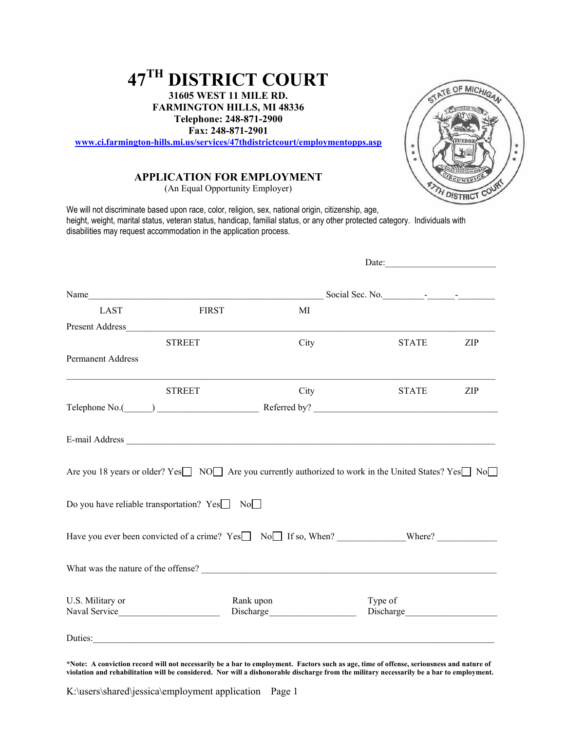# **47TH DISTRICT COURT**

**31605 WEST 11 MILE RD. FARMINGTON HILLS, MI 48336 Telephone: 248-871-2900 Fax: 248-871-2901** 

**[www.ci.farmington-hills.mi.us/services/47thdistrictcourt/employmentopps.asp](http://www.ci.farmington-hills.mi.us/services/47thdistrictcourt/employmentopps.asp)**

## **APPLICATION FOR EMPLOYMENT**

(An Equal Opportunity Employer)

We will not discriminate based upon race, color, religion, sex, national origin, citizenship, age, height, weight, marital status, veteran status, handicap, familial status, or any other protected category. Individuals with disabilities may request accommodation in the application process.

|                                  |                                                         |                        | Date:                                                                                                   |     |
|----------------------------------|---------------------------------------------------------|------------------------|---------------------------------------------------------------------------------------------------------|-----|
|                                  | Name                                                    |                        | Social Sec. No.                                                                                         |     |
| <b>LAST</b>                      | <b>FIRST</b>                                            | MI                     |                                                                                                         |     |
| Present Address <b>Execute 2</b> |                                                         |                        |                                                                                                         |     |
|                                  | <b>STREET</b>                                           | City                   | <b>STATE</b>                                                                                            | ZIP |
| <b>Permanent Address</b>         |                                                         |                        |                                                                                                         |     |
|                                  | <b>STREET</b>                                           | City                   | <b>STATE</b>                                                                                            | ZIP |
|                                  |                                                         |                        |                                                                                                         |     |
|                                  | Do you have reliable transportation? $Yes \Box No \Box$ |                        | Are you 18 years or older? Yes□ NO□ Are you currently authorized to work in the United States? Yes□ No□ |     |
|                                  |                                                         |                        | Have you ever been convicted of a crime? Yes No If so, When? Where?                                     |     |
|                                  | What was the nature of the offense?                     |                        |                                                                                                         |     |
| U.S. Military or                 |                                                         | Rank upon<br>Discharge | Type of                                                                                                 |     |
|                                  |                                                         |                        |                                                                                                         |     |

**\*Note: A conviction record will not necessarily be a bar to employment. Factors such as age, time of offense, seriousness and nature of violation and rehabilitation will be considered. Nor will a dishonorable discharge from the military necessarily be a bar to employment.**

K:\users\shared\jessica\employment application Page 1

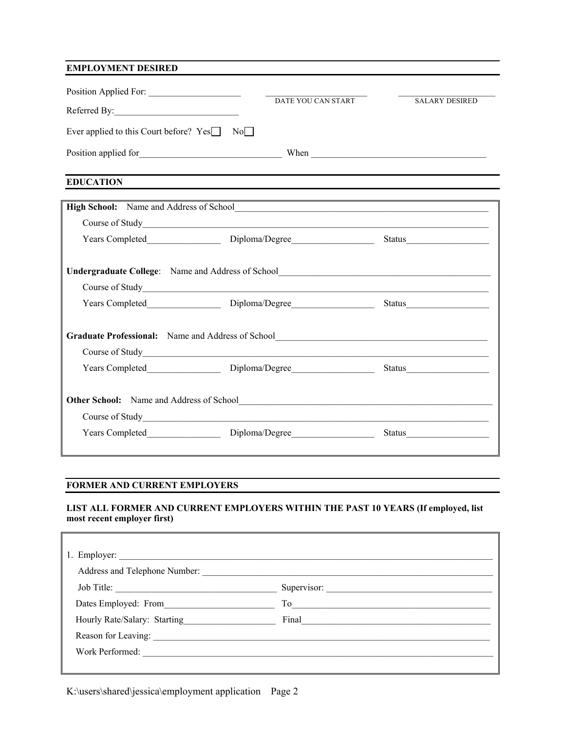## **EMPLOYMENT DESIRED**

| Position Applied For:                                             |                    |                       |
|-------------------------------------------------------------------|--------------------|-----------------------|
| Referred By:                                                      | DATE YOU CAN START | <b>SALARY DESIRED</b> |
| Ever applied to this Court before? $Yes \Box$<br>$\overline{N_0}$ |                    |                       |
| Position applied for                                              | When               |                       |

**EDUCATION**

|                                           | Undergraduate College: Name and Address of School________________________________ |        |
|-------------------------------------------|-----------------------------------------------------------------------------------|--------|
|                                           | Course of Study<br><u>Course</u> of Study                                         |        |
|                                           |                                                                                   |        |
|                                           |                                                                                   |        |
|                                           | Graduate Professional: Name and Address of School________________________________ |        |
| Course of Study<br><u>Course</u> of Study |                                                                                   |        |
|                                           |                                                                                   |        |
|                                           |                                                                                   |        |
|                                           |                                                                                   |        |
|                                           |                                                                                   |        |
|                                           |                                                                                   |        |
|                                           | Diploma/Degree                                                                    | Status |

## **FORMER AND CURRENT EMPLOYERS**

 $\mathbb{F}$ 

## **LIST ALL FORMER AND CURRENT EMPLOYERS WITHIN THE PAST 10 YEARS (If employed, list most recent employer first)**

٦

| 1. Employer: $\sqrt{ }$<br>Address and Telephone Number: |       |  |
|----------------------------------------------------------|-------|--|
| Job Title:                                               |       |  |
| Dates Employed: From                                     | To    |  |
| Hourly Rate/Salary: Starting                             | Final |  |
| Reason for Leaving:                                      |       |  |
| Work Performed:                                          |       |  |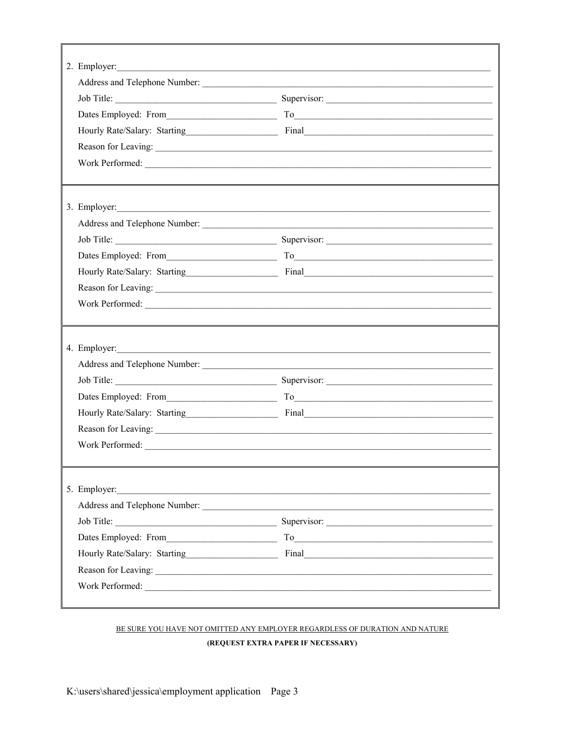|                 | Work Performed:                                                                     |
|-----------------|-------------------------------------------------------------------------------------|
|                 |                                                                                     |
|                 | 3. Employer:                                                                        |
|                 |                                                                                     |
|                 |                                                                                     |
|                 |                                                                                     |
|                 |                                                                                     |
|                 |                                                                                     |
|                 | Work Performed:                                                                     |
|                 |                                                                                     |
|                 | 4. Employer:                                                                        |
|                 |                                                                                     |
|                 |                                                                                     |
|                 | Dates Employed: From To To To To The Contract of the Contract of the Contract of To |
|                 |                                                                                     |
|                 |                                                                                     |
| Work Performed: |                                                                                     |
|                 |                                                                                     |
| 5. Employer:    |                                                                                     |
|                 |                                                                                     |
|                 |                                                                                     |
|                 |                                                                                     |
|                 |                                                                                     |
|                 |                                                                                     |
|                 | Work Performed:                                                                     |
|                 |                                                                                     |

# BE SURE YOU HAVE NOT OMITTED ANY EMPLOYER REGARDLESS OF DURATION AND NATURE (REQUEST EXTRA PAPER IF NECESSARY)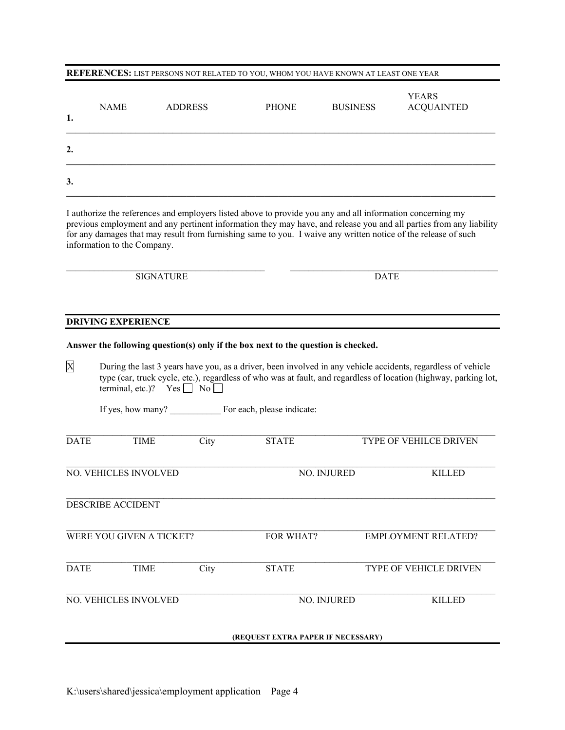#### **REFERENCES:** LIST PERSONS NOT RELATED TO YOU, WHOM YOU HAVE KNOWN AT LEAST ONE YEAR

| 1. | <b>NAME</b> | <b>ADDRESS</b> | <b>PHONE</b> | <b>BUSINESS</b> | <b>YEARS</b><br><b>ACQUAINTED</b> |
|----|-------------|----------------|--------------|-----------------|-----------------------------------|
| 2. |             |                |              |                 |                                   |
| 3. |             |                |              |                 |                                   |

I authorize the references and employers listed above to provide you any and all information concerning my previous employment and any pertinent information they may have, and release you and all parties from any liability for any damages that may result from furnishing same to you. I waive any written notice of the release of such information to the Company.

 $\_$  , and the state of the state of the state of the state of the state of the state of the state of the state of the state of the state of the state of the state of the state of the state of the state of the state of the

SIGNATURE DATE

## **DRIVING EXPERIENCE**

#### **Answer the following question(s) only if the box next to the question is checked.**

X During the last 3 years have you, as a driver, been involved in any vehicle accidents, regardless of vehicle type (car, truck cycle, etc.), regardless of who was at fault, and regardless of location (highway, parking lot, terminal, etc.)?  $Yes \nightharpoonup No \nightharpoonup$ 

If yes, how many? \_\_\_\_\_\_\_\_\_\_\_ For each, please indicate:

| <b>DATE</b> | TIME                     | City | <b>STATE</b>                       | TYPE OF VEHILCE DRIVEN        |
|-------------|--------------------------|------|------------------------------------|-------------------------------|
|             |                          |      |                                    |                               |
|             | NO. VEHICLES INVOLVED    |      | NO. INJURED                        | <b>KILLED</b>                 |
|             |                          |      |                                    |                               |
|             | <b>DESCRIBE ACCIDENT</b> |      |                                    |                               |
|             |                          |      |                                    |                               |
|             | WERE YOU GIVEN A TICKET? |      | FOR WHAT?                          | <b>EMPLOYMENT RELATED?</b>    |
|             |                          |      |                                    |                               |
| <b>DATE</b> | <b>TIME</b>              | City | <b>STATE</b>                       | <b>TYPE OF VEHICLE DRIVEN</b> |
|             |                          |      |                                    |                               |
|             | NO. VEHICLES INVOLVED    |      | NO. INJURED                        | <b>KILLED</b>                 |
|             |                          |      |                                    |                               |
|             |                          |      | (REQUEST EXTRA PAPER IF NECESSARY) |                               |
|             |                          |      |                                    |                               |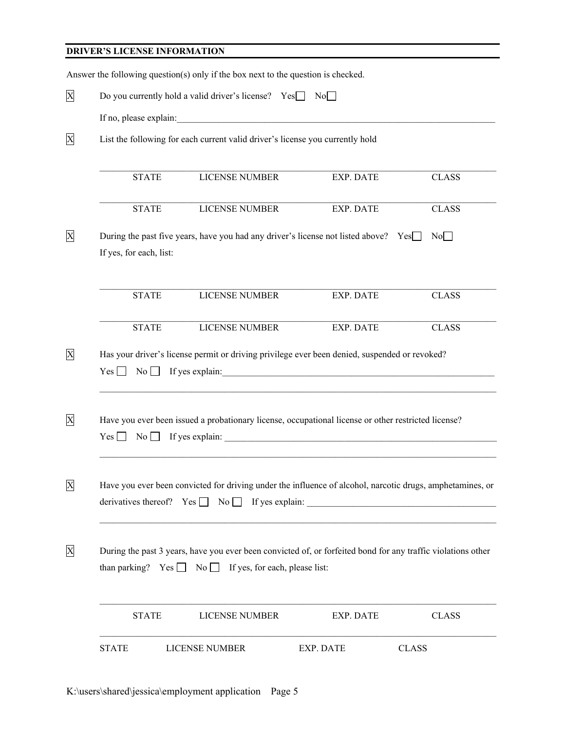# **DRIVER'S LICENSE INFORMATION**

|                                                             | Answer the following question(s) only if the box next to the question is checked.                                                                                                 |           |              |  |  |  |
|-------------------------------------------------------------|-----------------------------------------------------------------------------------------------------------------------------------------------------------------------------------|-----------|--------------|--|--|--|
| Do you currently hold a valid driver's license? $Yes$<br>No |                                                                                                                                                                                   |           |              |  |  |  |
|                                                             | If no, please explain:                                                                                                                                                            |           |              |  |  |  |
|                                                             | List the following for each current valid driver's license you currently hold                                                                                                     |           |              |  |  |  |
| <b>STATE</b>                                                | <b>LICENSE NUMBER</b>                                                                                                                                                             | EXP. DATE | <b>CLASS</b> |  |  |  |
| <b>STATE</b>                                                | LICENSE NUMBER                                                                                                                                                                    | EXP. DATE | <b>CLASS</b> |  |  |  |
| If yes, for each, list:                                     | During the past five years, have you had any driver's license not listed above? Yes                                                                                               |           | No           |  |  |  |
| <b>STATE</b>                                                | LICENSE NUMBER                                                                                                                                                                    | EXP. DATE | <b>CLASS</b> |  |  |  |
| <b>STATE</b>                                                | LICENSE NUMBER                                                                                                                                                                    | EXP. DATE | <b>CLASS</b> |  |  |  |
| Yes<br>$\overline{N_0}$                                     | Has your driver's license permit or driving privilege ever been denied, suspended or revoked?                                                                                     |           |              |  |  |  |
|                                                             | Have you ever been issued a probationary license, occupational license or other restricted license?<br>$Yes \t\t No \t\t If yes explain:$                                         |           |              |  |  |  |
|                                                             | Have you ever been convicted for driving under the influence of alcohol, narcotic drugs, amphetamines, or<br>derivatives thereof? $Yes \Box No \Box If yes explain: \Box$         |           |              |  |  |  |
|                                                             | During the past 3 years, have you ever been convicted of, or forfeited bond for any traffic violations other<br>than parking? Yes $\Box$ No $\Box$ If yes, for each, please list: |           |              |  |  |  |
| <b>STATE</b>                                                | LICENSE NUMBER                                                                                                                                                                    | EXP. DATE | <b>CLASS</b> |  |  |  |
| <b>STATE</b>                                                | LICENSE NUMBER                                                                                                                                                                    | EXP. DATE | <b>CLASS</b> |  |  |  |